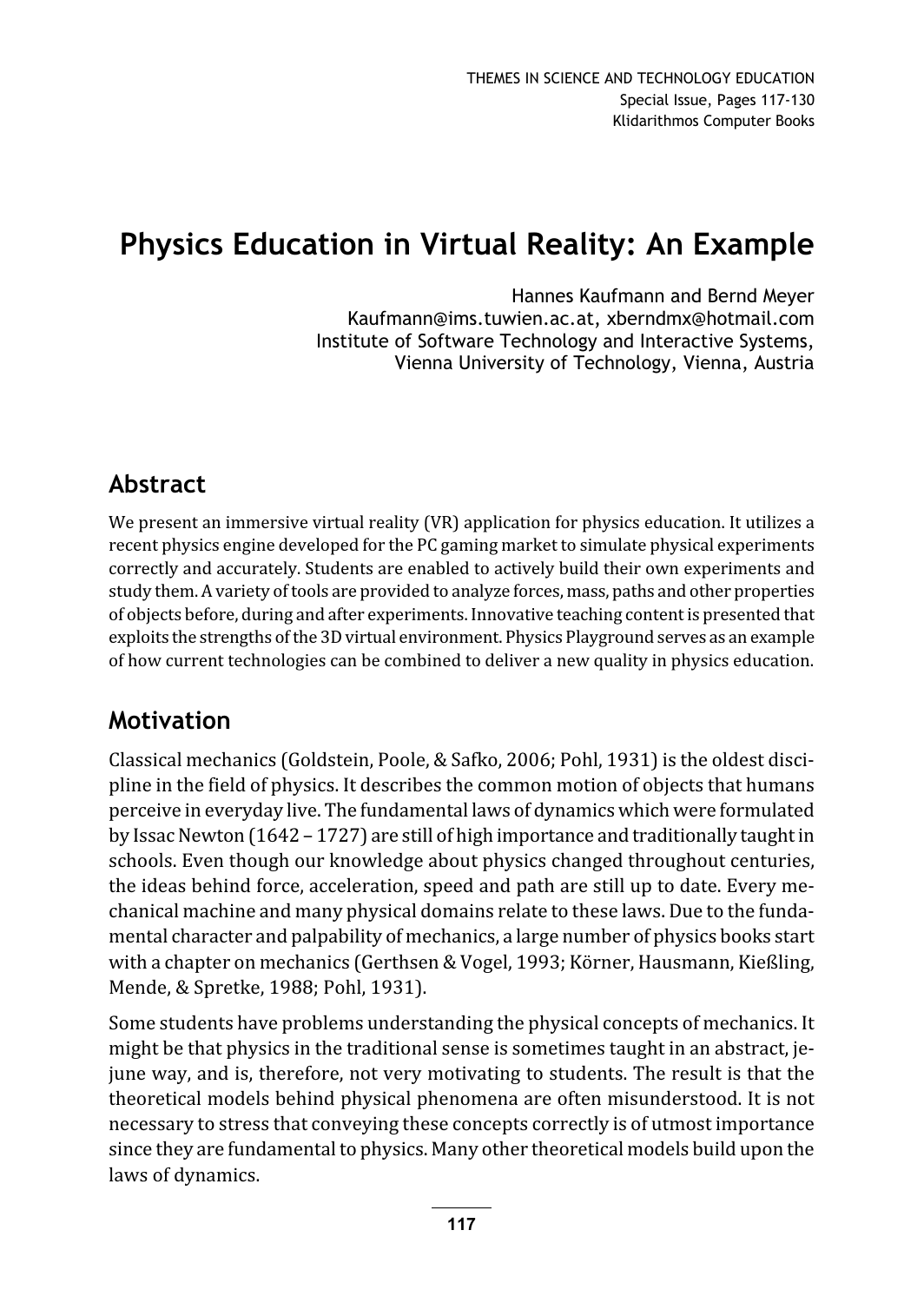# Physics Education in Virtual Reality: An Example

Hannes Kaufmann and Bernd Meyer Kaufmann@ims.tuwien.ac.at, xberndmx@hotmail.com Institute of Software Technology and Interactive Systems, Vienna University of Technology, Vienna, Austria

## Abstract

We present an immersive virtual reality (VR) application for physics education. It utilizes a recent physics engine developed for the PC gaming market to simulate physical experiments correctly and accurately. Students are enabled to actively build their own experiments and study them. A variety of tools are provided to analyze forces, mass, paths and other properties of objects before, during and after experiments. Innovative teaching content is presented that exploits the strengths of the 3D virtual environment. Physics Playground serves as an example of how current technologies can be combined to deliver a new quality in physics education.

## Motivation

Classical mechanics (Goldstein, Poole, & Safko, 2006; Pohl, 1931) is the oldest discipline in the field of physics. It describes the common motion of objects that humans perceive in everyday live. The fundamental laws of dynamics which were formulated by Issac Newton (1642 – 1727) are still of high importance and traditionally taught in schools. Even though our knowledge about physics changed throughout centuries, the ideas behind force, acceleration, speed and path are still up to date. Every mechanical machine and many physical domains relate to these laws. Due to the fundamental character and palpability of mechanics, a large number of physics books start with a chapter on mechanics (Gerthsen & Vogel, 1993; Körner, Hausmann, Kießling, Mende, & Spretke, 1988; Pohl, 1931).

Some students have problems understanding the physical concepts of mechanics. It might be that physics in the traditional sense is sometimes taught in an abstract, jejune way, and is, therefore, not very motivating to students. The result is that the theoretical models behind physical phenomena are often misunderstood. It is not necessary to stress that conveying these concepts correctly is of utmost importance since they are fundamental to physics. Many other theoretical models build upon the laws of dynamics.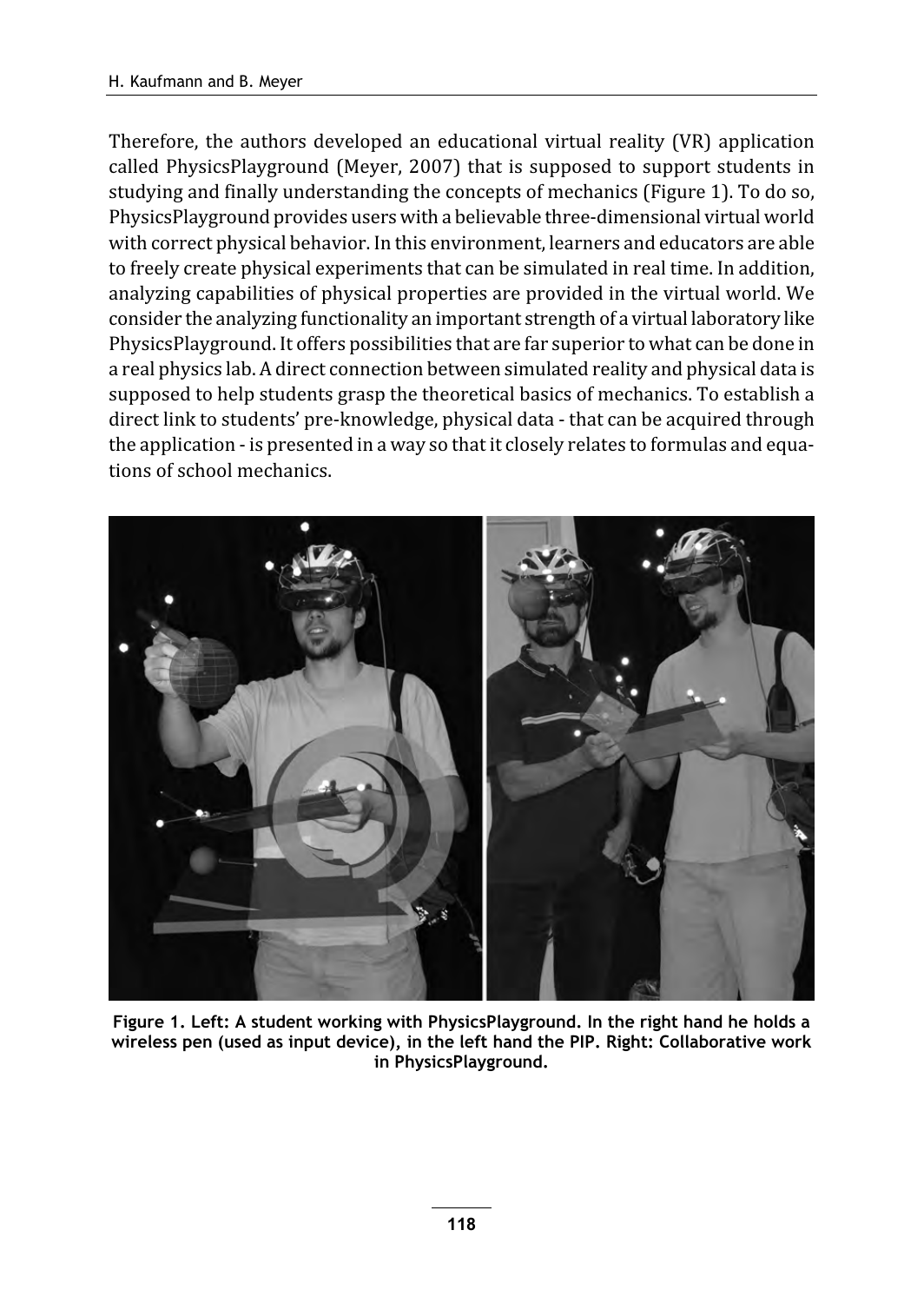Therefore, the authors developed an educational virtual reality (VR) application called PhysicsPlayground (Meyer, 2007) that is supposed to support students in studying and finally understanding the concepts of mechanics (Figure 1). To do so, PhysicsPlayground provides users with a believable three-dimensional virtual world with correct physical behavior. In this environment, learners and educators are able to freely create physical experiments that can be simulated in real time. In addition, analyzing capabilities of physical properties are provided in the virtual world. We consider the analyzing functionality an important strength of a virtual laboratory like PhysicsPlayground. It offers possibilities that are far superior to what can be done in a real physics lab. A direct connection between simulated reality and physical data is supposed to help students grasp the theoretical basics of mechanics. To establish a direct link to students' pre-knowledge, physical data - that can be acquired through the application - is presented in a way so that it closely relates to formulas and equations of school mechanics.



Figure 1. Left: A student working with PhysicsPlayground. In the right hand he holds a wireless pen (used as input device), in the left hand the PIP. Right: Collaborative work in PhysicsPlayground.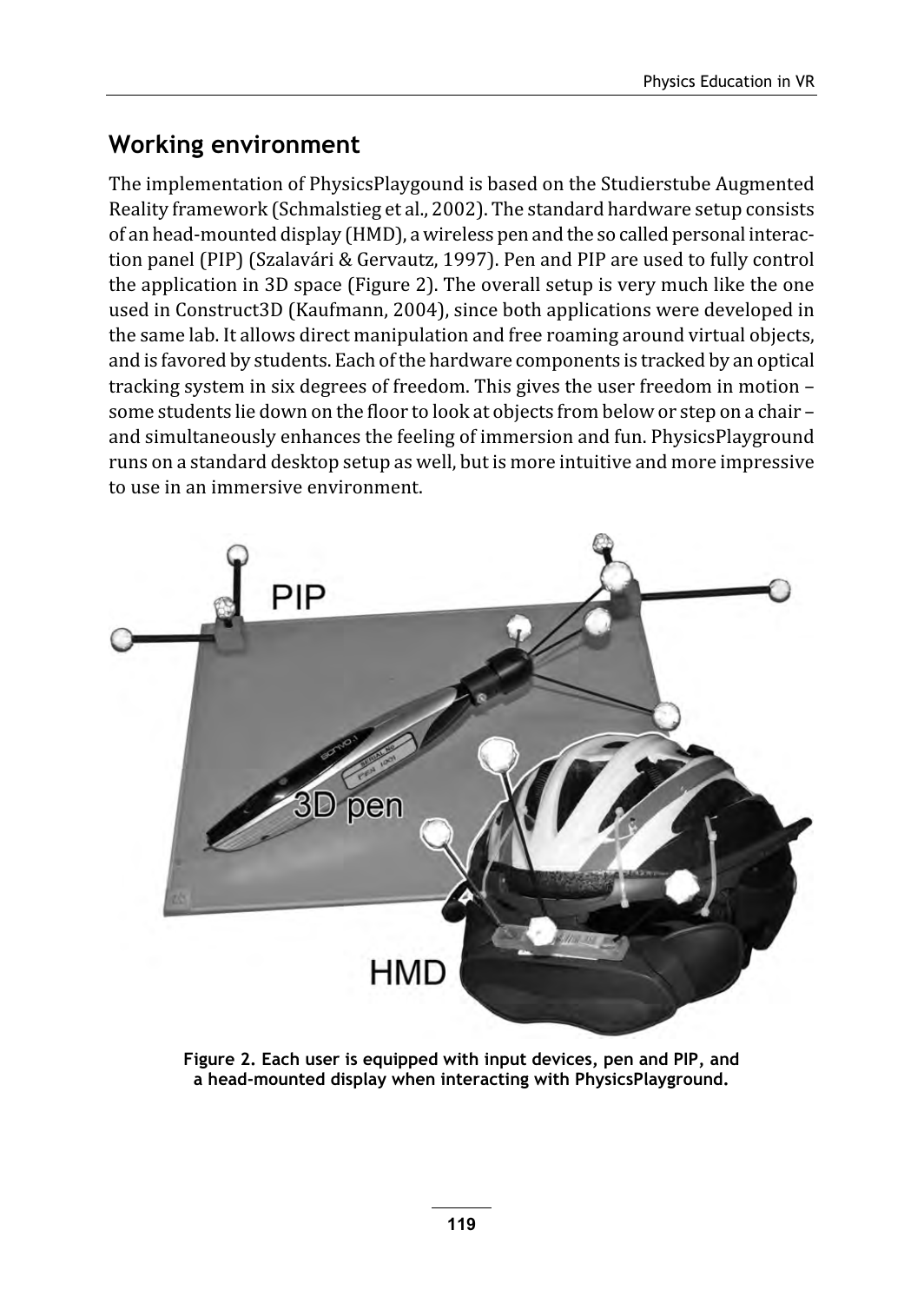## Working environment

The implementation of PhysicsPlaygound is based on the Studierstube Augmented Reality framework (Schmalstieg et al., 2002). The standard hardware setup consists of an head-mounted display (HMD), a wireless pen and the so called personal interaction panel (PIP) (Szalavári & Gervautz, 1997). Pen and PIP are used to fully control the application in 3D space (Figure 2). The overall setup is very much like the one used in Construct3D (Kaufmann, 2004), since both applications were developed in the same lab. It allows direct manipulation and free roaming around virtual objects, and is favored by students. Each of the hardware components is tracked by an optical tracking system in six degrees of freedom. This gives the user freedom in motion – some students lie down on the floor to look at objects from below or step on a chair – and simultaneously enhances the feeling of immersion and fun. PhysicsPlayground runs on a standard desktop setup as well, but is more intuitive and more impressive to use in an immersive environment.



Figure 2. Each user is equipped with input devices, pen and PIP, and a head-mounted display when interacting with PhysicsPlayground.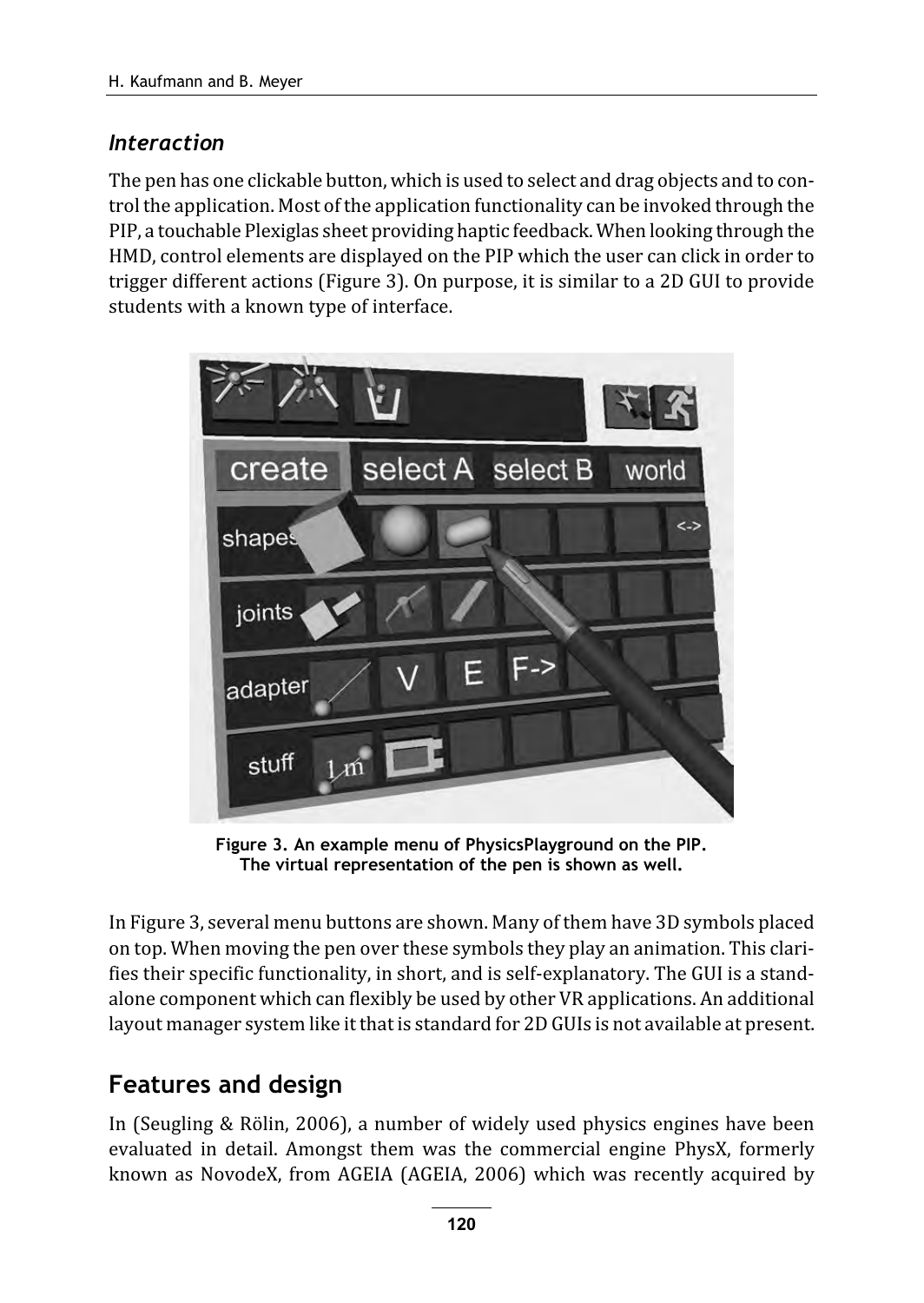#### Interaction

The pen has one clickable button, which is used to select and drag objects and to control the application. Most of the application functionality can be invoked through the PIP, a touchable Plexiglas sheet providing haptic feedback. When looking through the HMD, control elements are displayed on the PIP which the user can click in order to trigger different actions (Figure 3). On purpose, it is similar to a 2D GUI to provide students with a known type of interface.



Figure 3. An example menu of PhysicsPlayground on the PIP. The virtual representation of the pen is shown as well.

In Figure 3, several menu buttons are shown. Many of them have 3D symbols placed on top. When moving the pen over these symbols they play an animation. This clarifies their specific functionality, in short, and is self-explanatory. The GUI is a standalone component which can flexibly be used by other VR applications. An additional layout manager system like it that is standard for 2D GUIs is not available at present.

## Features and design

In (Seugling & Rölin, 2006), a number of widely used physics engines have been evaluated in detail. Amongst them was the commercial engine PhysX, formerly known as NovodeX, from AGEIA (AGEIA, 2006) which was recently acquired by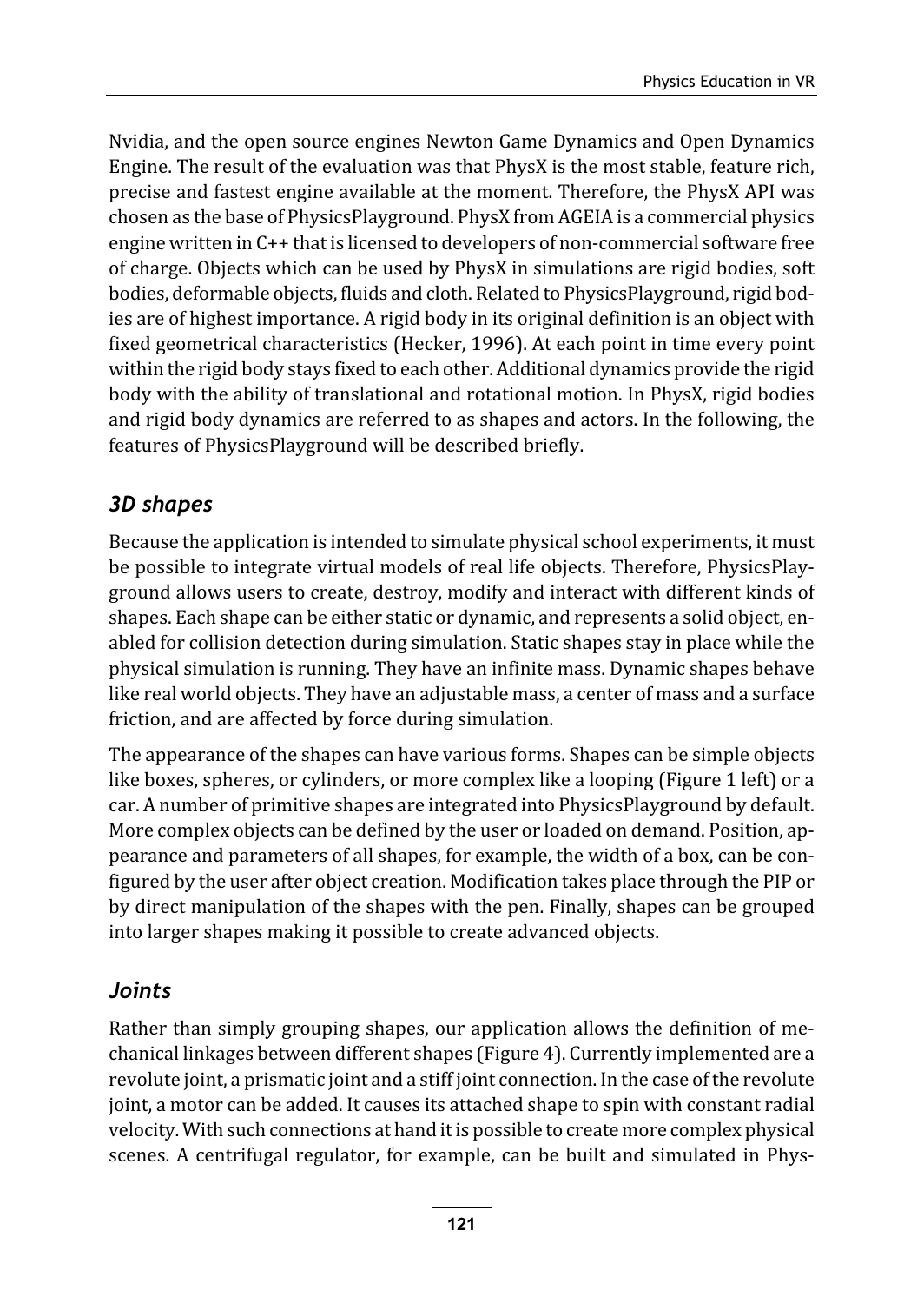Nvidia, and the open source engines Newton Game Dynamics and Open Dynamics Engine. The result of the evaluation was that PhysX is the most stable, feature rich, precise and fastest engine available at the moment. Therefore, the PhysX API was chosen as the base of PhysicsPlayground. PhysX from AGEIA is a commercial physics engine written in C++ that is licensed to developers of non-commercial software free of charge. Objects which can be used by PhysX in simulations are rigid bodies, soft bodies, deformable objects, fluids and cloth. Related to PhysicsPlayground, rigid bodies are of highest importance. A rigid body in its original definition is an object with fixed geometrical characteristics (Hecker, 1996). At each point in time every point within the rigid body stays fixed to each other. Additional dynamics provide the rigid body with the ability of translational and rotational motion. In PhysX, rigid bodies and rigid body dynamics are referred to as shapes and actors. In the following, the features of PhysicsPlayground will be described briefly.

#### 3D shapes

Because the application is intended to simulate physical school experiments, it must be possible to integrate virtual models of real life objects. Therefore, PhysicsPlayground allows users to create, destroy, modify and interact with different kinds of shapes. Each shape can be either static or dynamic, and represents a solid object, enabled for collision detection during simulation. Static shapes stay in place while the physical simulation is running. They have an infinite mass. Dynamic shapes behave like real world objects. They have an adjustable mass, a center of mass and a surface friction, and are affected by force during simulation.

The appearance of the shapes can have various forms. Shapes can be simple objects like boxes, spheres, or cylinders, or more complex like a looping (Figure 1 left) or a car. A number of primitive shapes are integrated into PhysicsPlayground by default. More complex objects can be defined by the user or loaded on demand. Position, appearance and parameters of all shapes, for example, the width of a box, can be configured by the user after object creation. Modification takes place through the PIP or by direct manipulation of the shapes with the pen. Finally, shapes can be grouped into larger shapes making it possible to create advanced objects.

#### Joints

Rather than simply grouping shapes, our application allows the definition of mechanical linkages between different shapes (Figure 4). Currently implemented are a revolute joint, a prismatic joint and a stiff joint connection. In the case of the revolute joint, a motor can be added. It causes its attached shape to spin with constant radial velocity. With such connections at hand it is possible to create more complex physical scenes. A centrifugal regulator, for example, can be built and simulated in Phys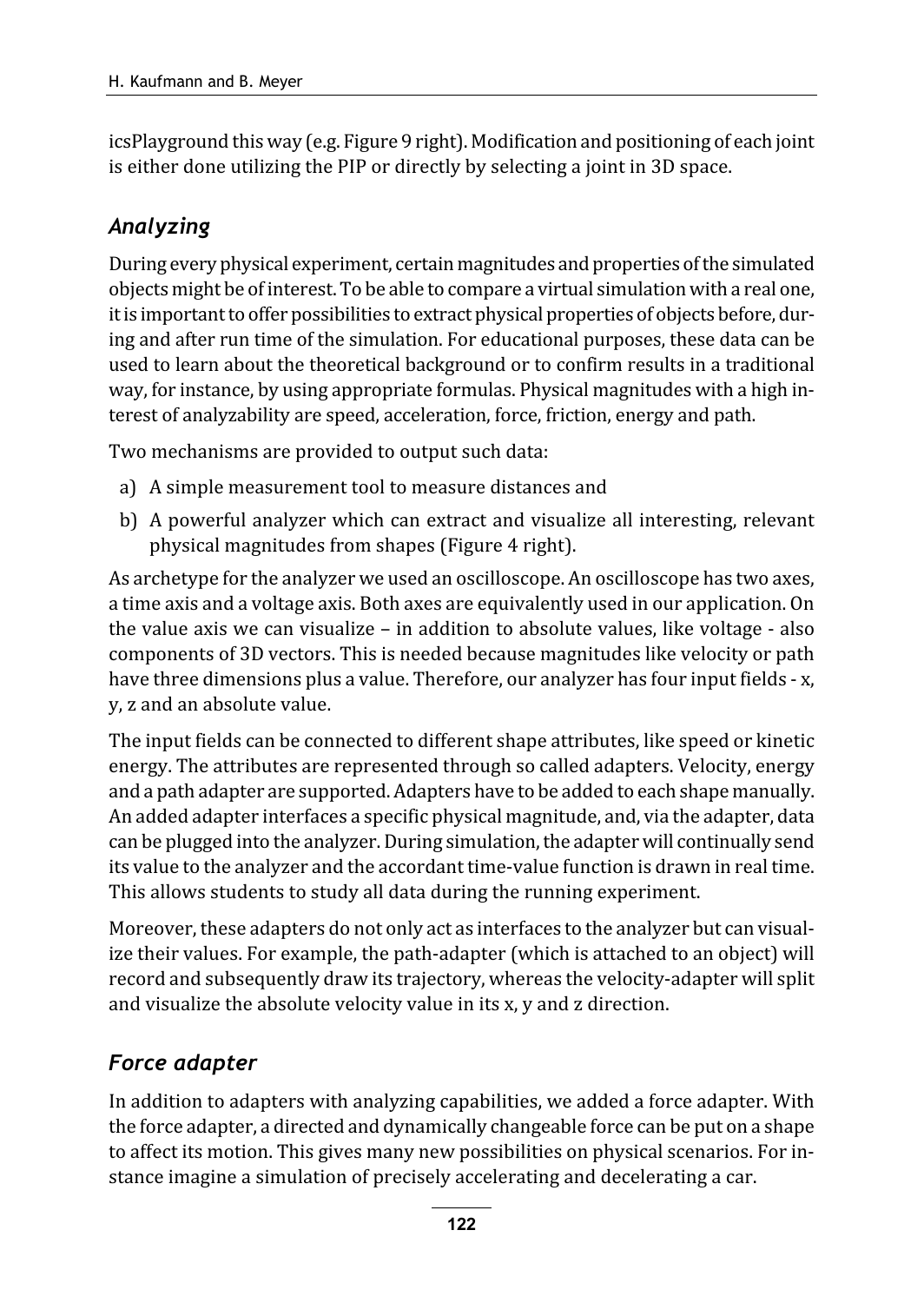icsPlayground this way (e.g. Figure 9 right). Modification and positioning of each joint is either done utilizing the PIP or directly by selecting a joint in 3D space.

#### Analyzing

During every physical experiment, certain magnitudes and properties of the simulated objects might be of interest. To be able to compare a virtual simulation with a real one, it is important to offer possibilities to extract physical properties of objects before, during and after run time of the simulation. For educational purposes, these data can be used to learn about the theoretical background or to confirm results in a traditional way, for instance, by using appropriate formulas. Physical magnitudes with a high interest of analyzability are speed, acceleration, force, friction, energy and path.

Two mechanisms are provided to output such data:

- a) A simple measurement tool to measure distances and
- b) A powerful analyzer which can extract and visualize all interesting, relevant physical magnitudes from shapes (Figure 4 right).

As archetype for the analyzer we used an oscilloscope. An oscilloscope has two axes, a time axis and a voltage axis. Both axes are equivalently used in our application. On the value axis we can visualize – in addition to absolute values, like voltage - also components of 3D vectors. This is needed because magnitudes like velocity or path have three dimensions plus a value. Therefore, our analyzer has four input fields - x, y, z and an absolute value.

The input fields can be connected to different shape attributes, like speed or kinetic energy. The attributes are represented through so called adapters. Velocity, energy and a path adapter are supported. Adapters have to be added to each shape manually. An added adapter interfaces a specific physical magnitude, and, via the adapter, data can be plugged into the analyzer. During simulation, the adapter will continually send its value to the analyzer and the accordant time-value function is drawn in real time. This allows students to study all data during the running experiment.

Moreover, these adapters do not only act as interfaces to the analyzer but can visualize their values. For example, the path-adapter (which is attached to an object) will record and subsequently draw its trajectory, whereas the velocity-adapter will split and visualize the absolute velocity value in its x, y and z direction.

#### Force adapter

In addition to adapters with analyzing capabilities, we added a force adapter. With the force adapter, a directed and dynamically changeable force can be put on a shape to affect its motion. This gives many new possibilities on physical scenarios. For instance imagine a simulation of precisely accelerating and decelerating a car.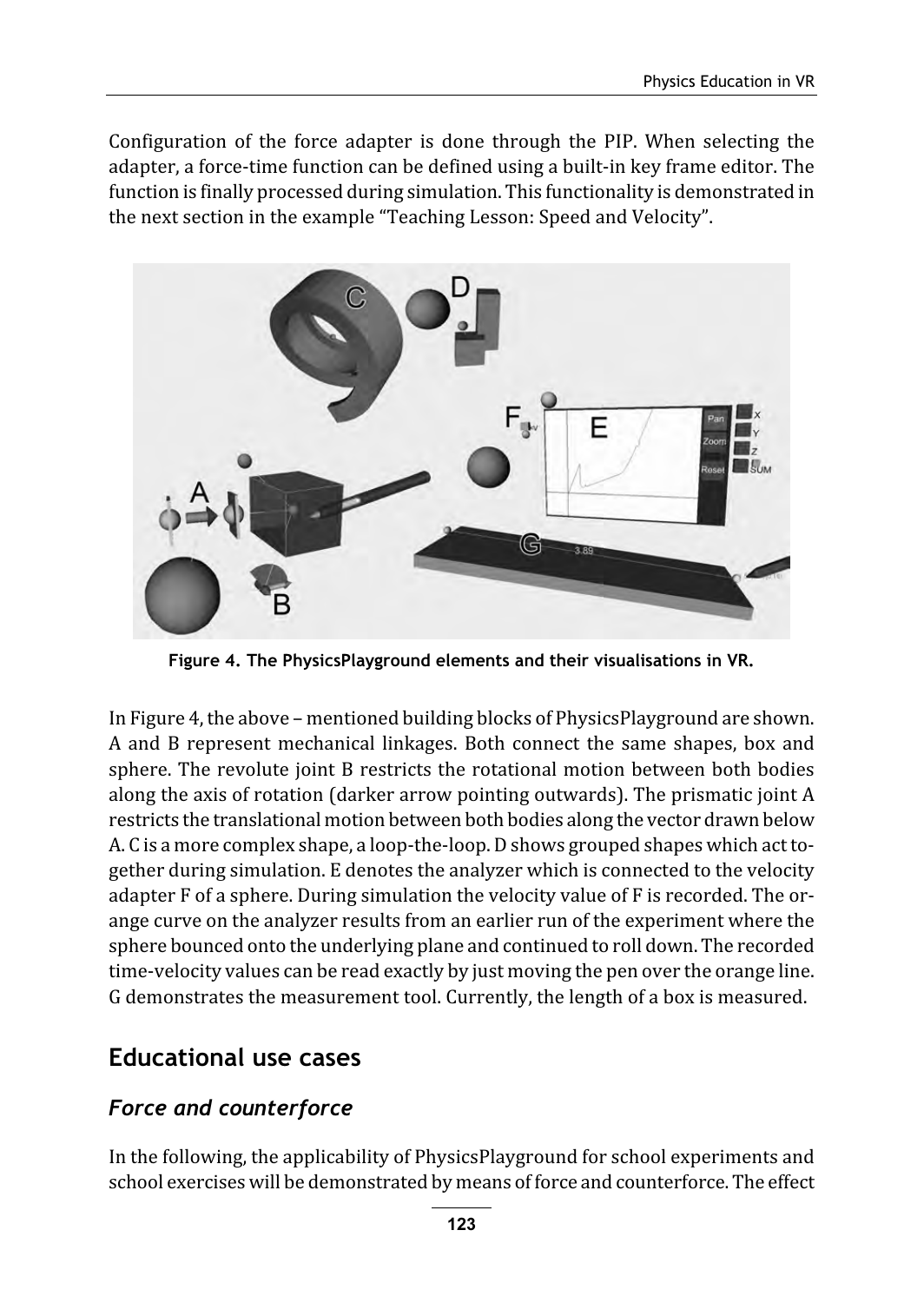Configuration of the force adapter is done through the PIP. When selecting the adapter, a force-time function can be defined using a built-in key frame editor. The function is finally processed during simulation. This functionality is demonstrated in the next section in the example "Teaching Lesson: Speed and Velocity".



Figure 4. The PhysicsPlayground elements and their visualisations in VR.

In Figure 4, the above – mentioned building blocks of PhysicsPlayground are shown. A and B represent mechanical linkages. Both connect the same shapes, box and sphere. The revolute joint B restricts the rotational motion between both bodies along the axis of rotation (darker arrow pointing outwards). The prismatic joint A restricts the translational motion between both bodies along the vector drawn below A. C is a more complex shape, a loop-the-loop. D shows grouped shapes which act together during simulation. E denotes the analyzer which is connected to the velocity adapter F of a sphere. During simulation the velocity value of F is recorded. The orange curve on the analyzer results from an earlier run of the experiment where the sphere bounced onto the underlying plane and continued to roll down. The recorded time-velocity values can be read exactly by just moving the pen over the orange line. G demonstrates the measurement tool. Currently, the length of a box is measured.

### Educational use cases

#### Force and counterforce

In the following, the applicability of PhysicsPlayground for school experiments and school exercises will be demonstrated by means of force and counterforce. The effect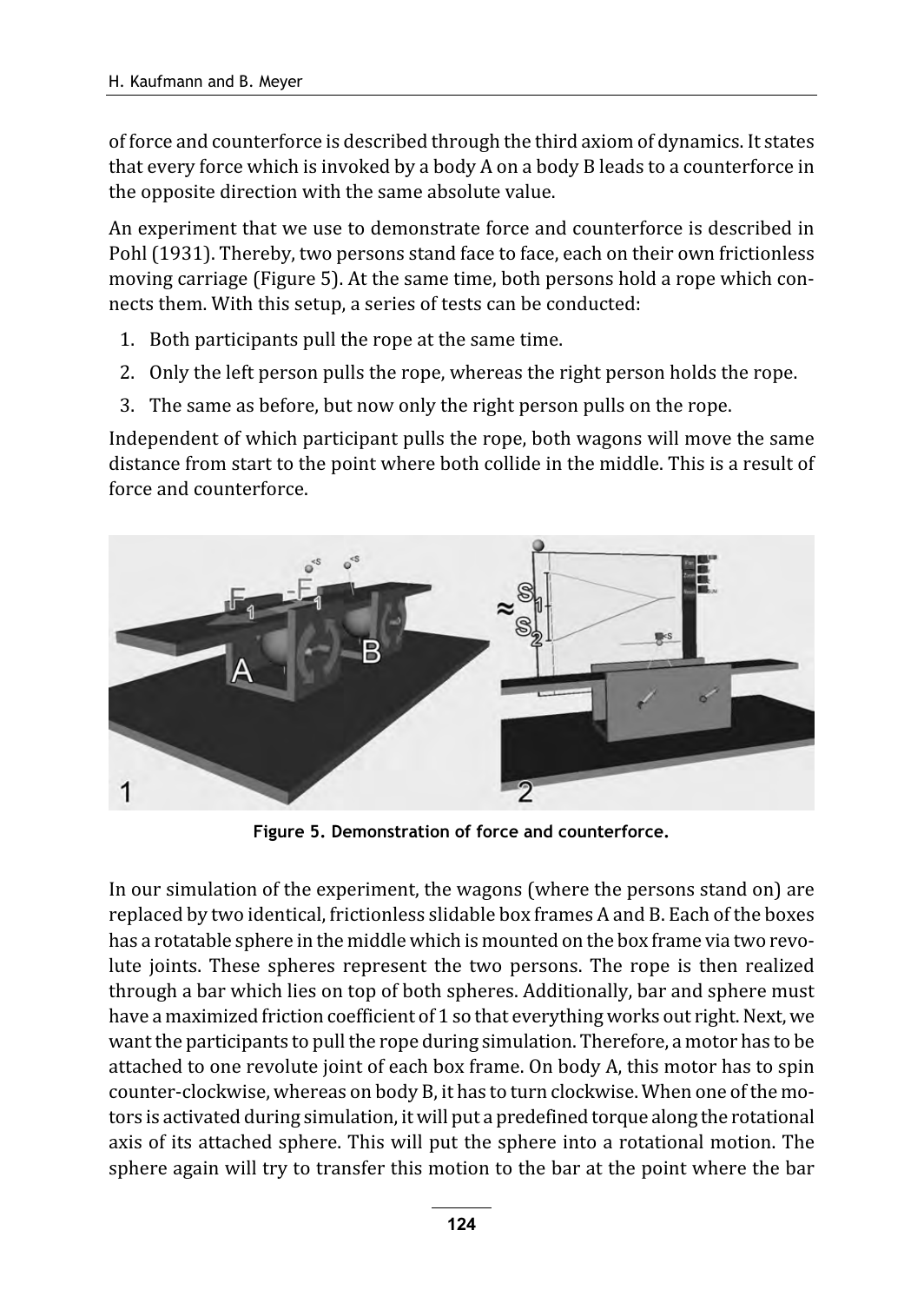of force and counterforce is described through the third axiom of dynamics. It states that every force which is invoked by a body A on a body B leads to a counterforce in the opposite direction with the same absolute value.

An experiment that we use to demonstrate force and counterforce is described in Pohl (1931). Thereby, two persons stand face to face, each on their own frictionless moving carriage (Figure 5). At the same time, both persons hold a rope which connects them. With this setup, a series of tests can be conducted:

- 1. Both participants pull the rope at the same time.
- 2. Only the left person pulls the rope, whereas the right person holds the rope.
- 3. The same as before, but now only the right person pulls on the rope.

Independent of which participant pulls the rope, both wagons will move the same distance from start to the point where both collide in the middle. This is a result of force and counterforce.



Figure 5. Demonstration of force and counterforce.

In our simulation of the experiment, the wagons (where the persons stand on) are replaced by two identical, frictionless slidable box frames A and B. Each of the boxes has a rotatable sphere in the middle which is mounted on the box frame via two revolute joints. These spheres represent the two persons. The rope is then realized through a bar which lies on top of both spheres. Additionally, bar and sphere must have a maximized friction coefficient of 1 so that everything works out right. Next, we want the participants to pull the rope during simulation. Therefore, a motor has to be attached to one revolute joint of each box frame. On body A, this motor has to spin counter-clockwise, whereas on body B, it has to turn clockwise. When one of the motors is activated during simulation, it will put a predefined torque along the rotational axis of its attached sphere. This will put the sphere into a rotational motion. The sphere again will try to transfer this motion to the bar at the point where the bar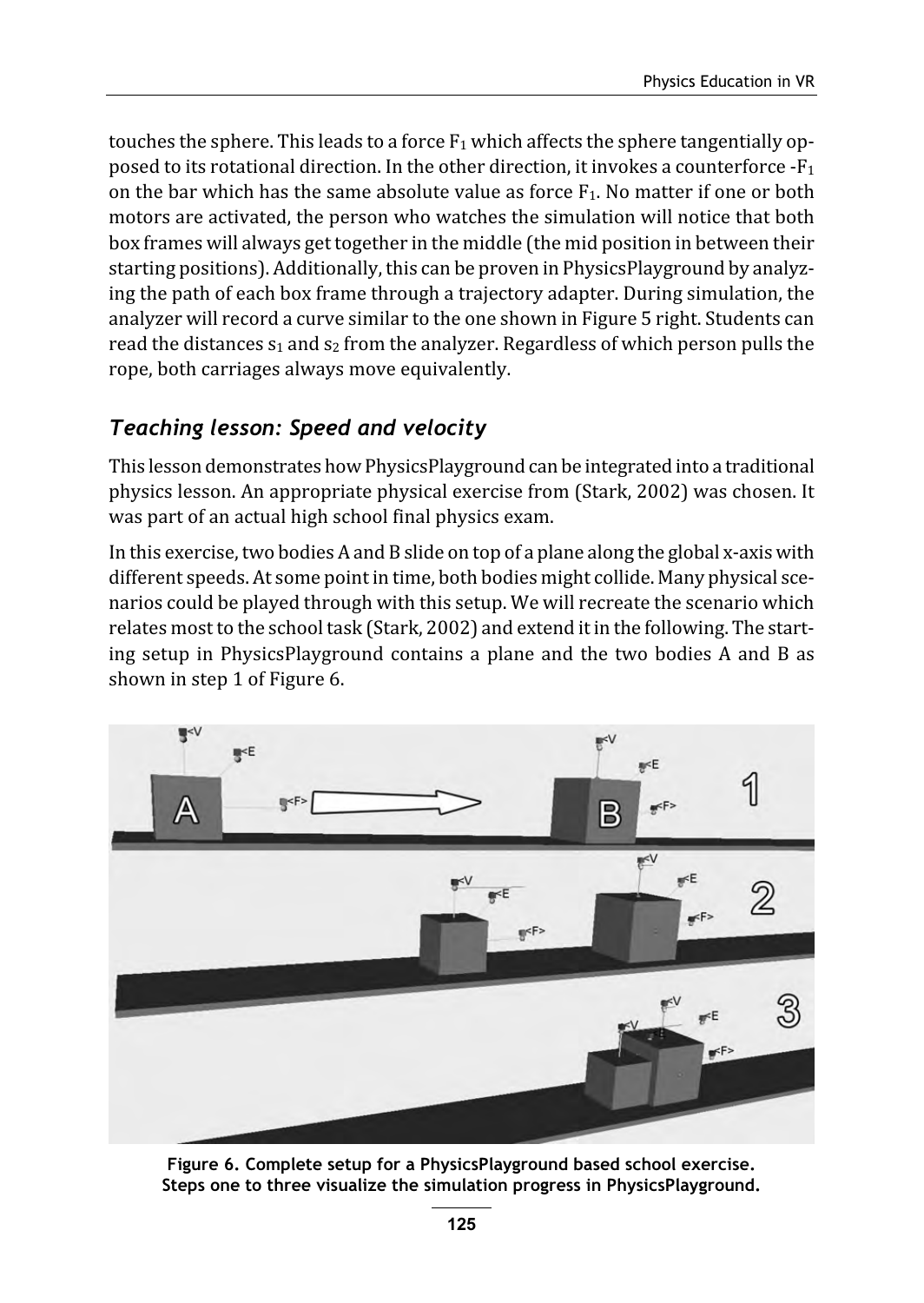touches the sphere. This leads to a force  $F_1$  which affects the sphere tangentially opposed to its rotational direction. In the other direction, it invokes a counterforce  $-F_1$ on the bar which has the same absolute value as force  $F_1$ . No matter if one or both motors are activated, the person who watches the simulation will notice that both box frames will always get together in the middle (the mid position in between their starting positions). Additionally, this can be proven in PhysicsPlayground by analyzing the path of each box frame through a trajectory adapter. During simulation, the analyzer will record a curve similar to the one shown in Figure 5 right. Students can read the distances  $s_1$  and  $s_2$  from the analyzer. Regardless of which person pulls the rope, both carriages always move equivalently.

#### Teaching lesson: Speed and velocity

This lesson demonstrates how PhysicsPlayground can be integrated into a traditional physics lesson. An appropriate physical exercise from (Stark, 2002) was chosen. It was part of an actual high school final physics exam.

In this exercise, two bodies A and B slide on top of a plane along the global x-axis with different speeds. At some point in time, both bodies might collide. Many physical scenarios could be played through with this setup. We will recreate the scenario which relates most to the school task (Stark, 2002) and extend it in the following. The starting setup in PhysicsPlayground contains a plane and the two bodies A and B as shown in step 1 of Figure 6.



Figure 6. Complete setup for a PhysicsPlayground based school exercise. Steps one to three visualize the simulation progress in PhysicsPlayground.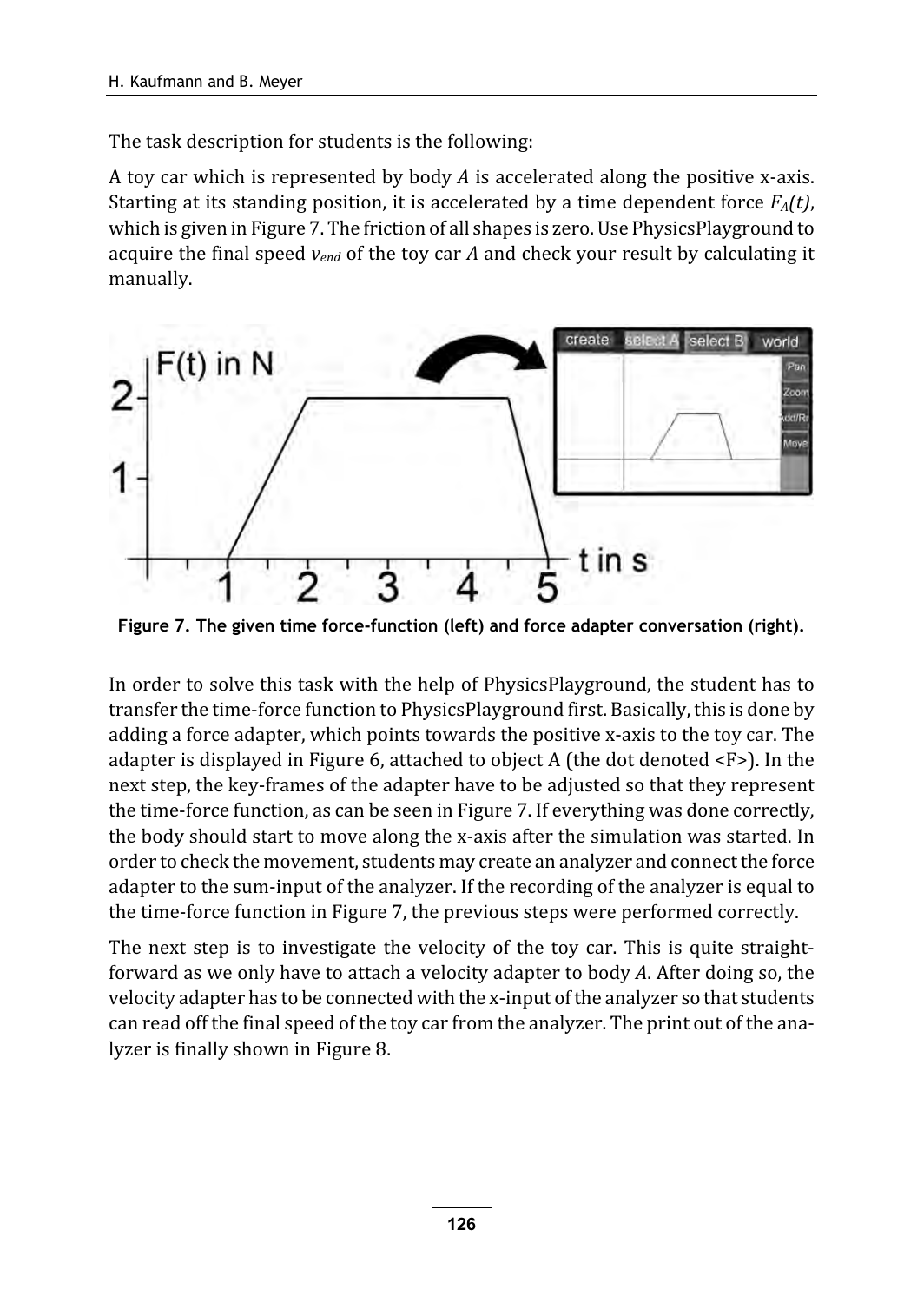The task description for students is the following:

A toy car which is represented by body  $A$  is accelerated along the positive x-axis. Starting at its standing position, it is accelerated by a time dependent force  $F_A(t)$ , which is given in Figure 7. The friction of all shapes is zero. Use PhysicsPlayground to acquire the final speed  $v_{end}$  of the toy car A and check your result by calculating it manually.



Figure 7. The given time force-function (left) and force adapter conversation (right).

In order to solve this task with the help of PhysicsPlayground, the student has to transfer the time-force function to PhysicsPlayground first. Basically, this is done by adding a force adapter, which points towards the positive x-axis to the toy car. The adapter is displayed in Figure 6, attached to object A (the dot denoted <F>). In the next step, the key-frames of the adapter have to be adjusted so that they represent the time-force function, as can be seen in Figure 7. If everything was done correctly, the body should start to move along the x-axis after the simulation was started. In order to check the movement, students may create an analyzer and connect the force adapter to the sum-input of the analyzer. If the recording of the analyzer is equal to the time-force function in Figure 7, the previous steps were performed correctly.

The next step is to investigate the velocity of the toy car. This is quite straightforward as we only have to attach a velocity adapter to body A. After doing so, the velocity adapter has to be connected with the x-input of the analyzer so that students can read off the final speed of the toy car from the analyzer. The print out of the analyzer is finally shown in Figure 8.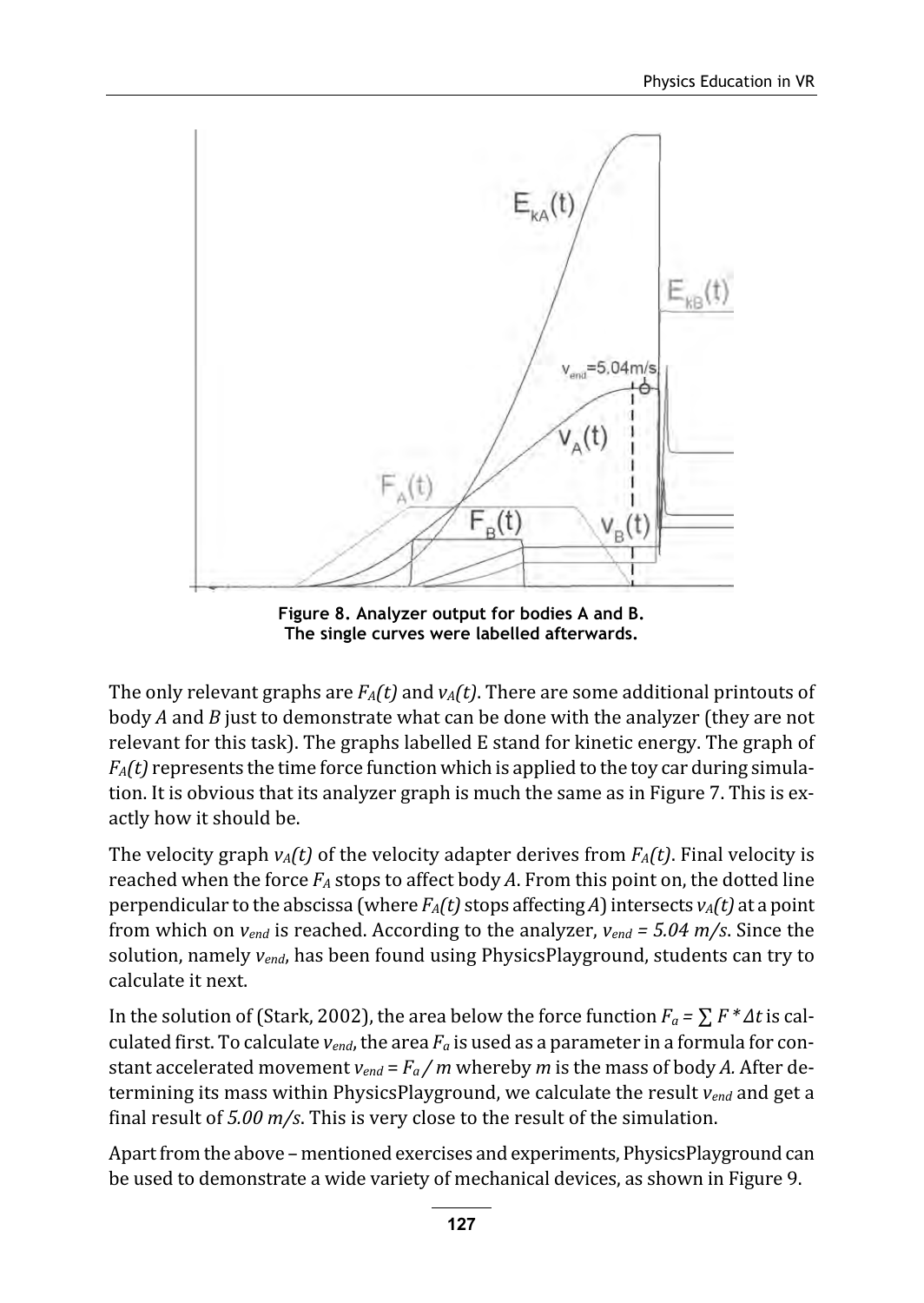

Figure 8. Analyzer output for bodies A and B. The single curves were labelled afterwards.

The only relevant graphs are  $F_A(t)$  and  $v_A(t)$ . There are some additional printouts of body  $A$  and  $B$  just to demonstrate what can be done with the analyzer (they are not relevant for this task). The graphs labelled E stand for kinetic energy. The graph of  $F_A(t)$  represents the time force function which is applied to the toy car during simulation. It is obvious that its analyzer graph is much the same as in Figure 7. This is exactly how it should be.

The velocity graph  $v_A(t)$  of the velocity adapter derives from  $F_A(t)$ . Final velocity is reached when the force  $F_A$  stops to affect body A. From this point on, the dotted line perpendicular to the abscissa (where  $F_A(t)$  stops affecting A) intersects  $v_A(t)$  at a point from which on  $v_{end}$  is reached. According to the analyzer,  $v_{end} = 5.04$  m/s. Since the solution, namely  $v_{end}$ , has been found using PhysicsPlayground, students can try to calculate it next.

In the solution of (Stark, 2002), the area below the force function  $F_a = \sum F^* \Delta t$  is calculated first. To calculate  $v_{end}$ , the area  $F_a$  is used as a parameter in a formula for constant accelerated movement  $v_{end} = F_a / m$  whereby *m* is the mass of body *A*. After determining its mass within PhysicsPlayground, we calculate the result  $v_{end}$  and get a final result of  $5.00$  m/s. This is very close to the result of the simulation.

Apart from the above – mentioned exercises and experiments, PhysicsPlayground can be used to demonstrate a wide variety of mechanical devices, as shown in Figure 9.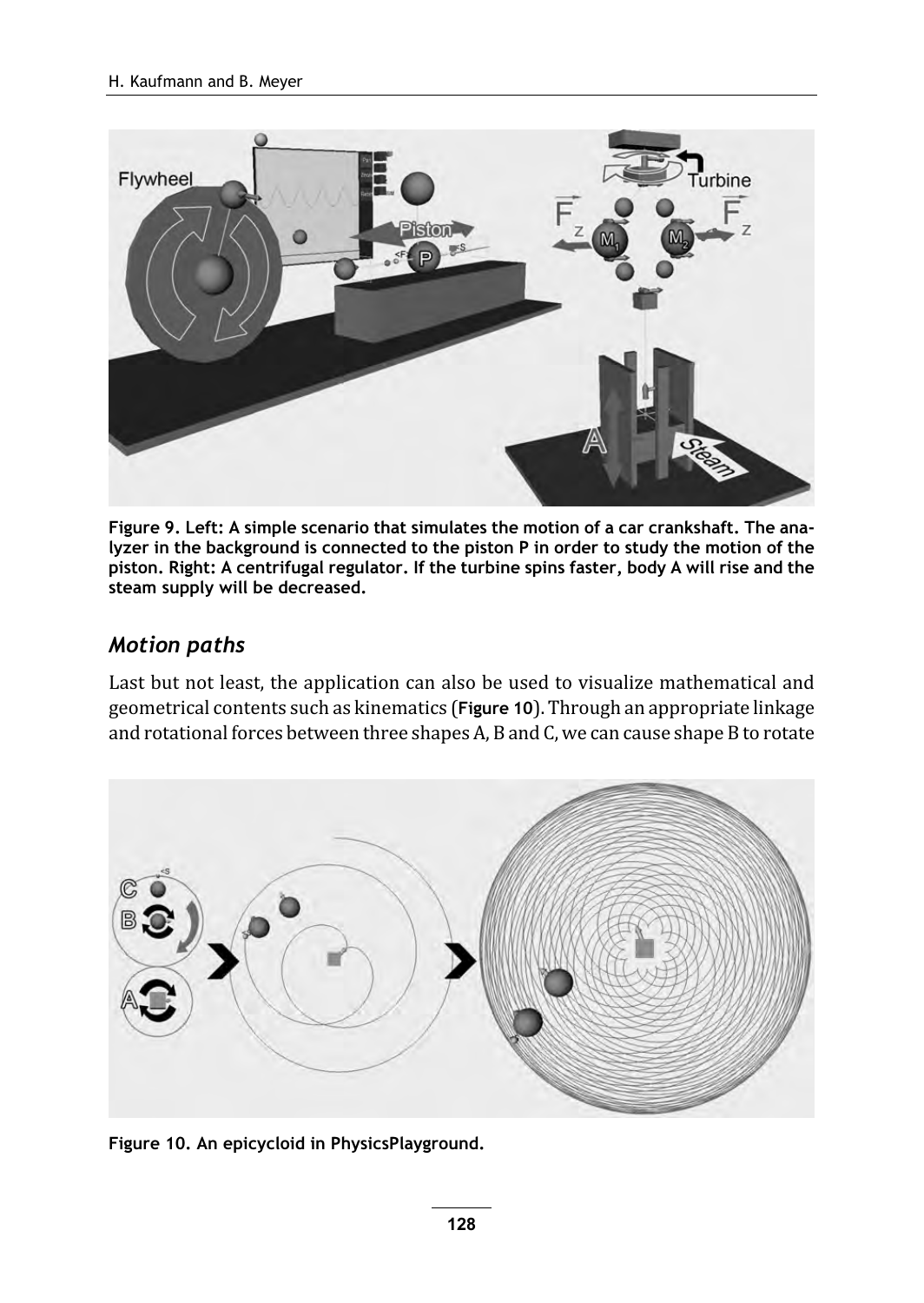

Figure 9. Left: A simple scenario that simulates the motion of a car crankshaft. The analyzer in the background is connected to the piston P in order to study the motion of the piston. Right: A centrifugal regulator. If the turbine spins faster, body A will rise and the steam supply will be decreased.

#### Motion paths

Last but not least, the application can also be used to visualize mathematical and geometrical contents such as kinematics (Figure 10). Through an appropriate linkage and rotational forces between three shapes A, B and C, we can cause shape B to rotate



Figure 10. An epicycloid in PhysicsPlayground.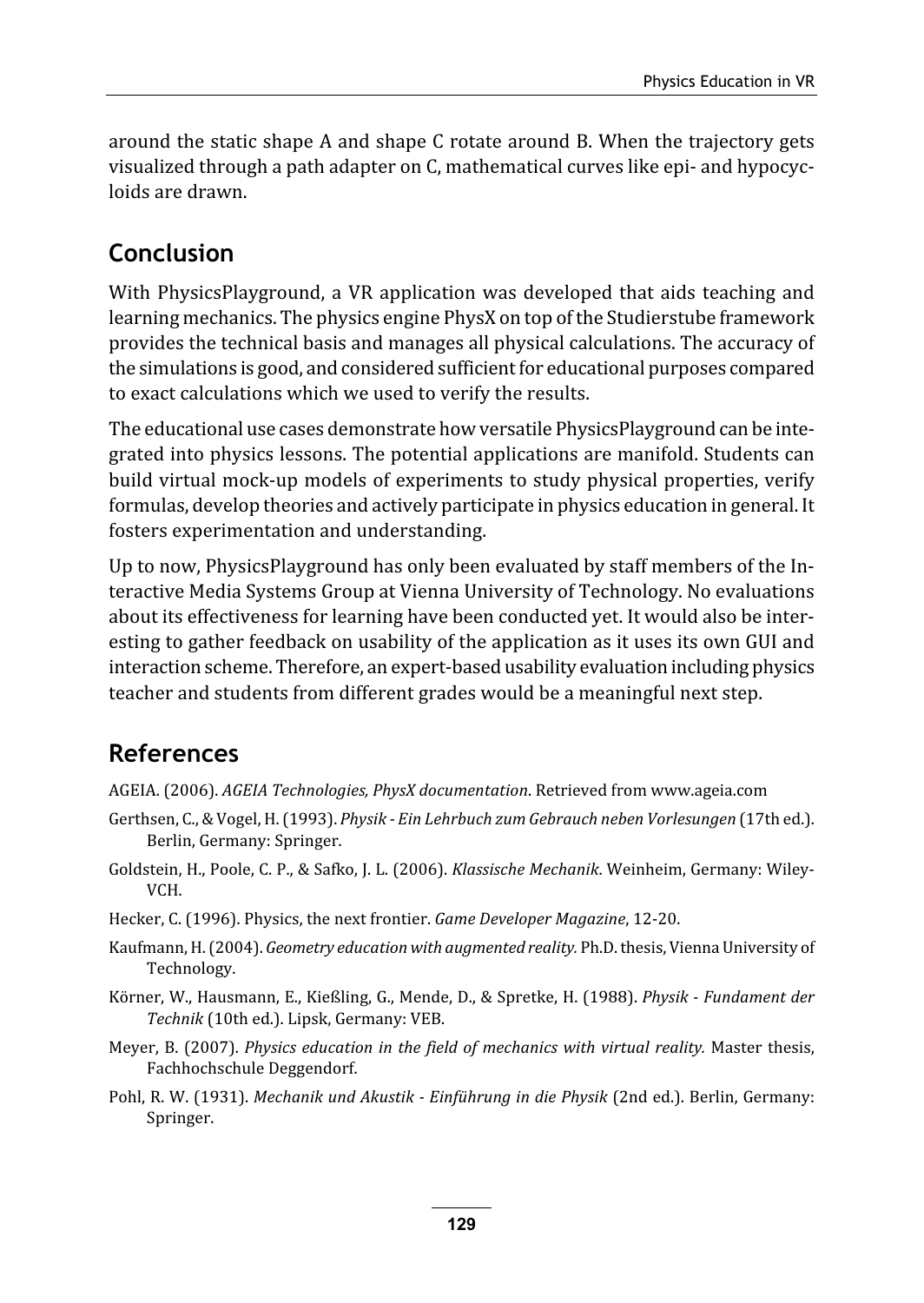around the static shape A and shape C rotate around B. When the trajectory gets visualized through a path adapter on C, mathematical curves like epi- and hypocycloids are drawn.

## Conclusion

With PhysicsPlayground, a VR application was developed that aids teaching and learning mechanics. The physics engine PhysX on top of the Studierstube framework provides the technical basis and manages all physical calculations. The accuracy of the simulations is good, and considered sufficient for educational purposes compared to exact calculations which we used to verify the results.

The educational use cases demonstrate how versatile PhysicsPlayground can be integrated into physics lessons. The potential applications are manifold. Students can build virtual mock-up models of experiments to study physical properties, verify formulas, develop theories and actively participate in physics education in general. It fosters experimentation and understanding.

Up to now, PhysicsPlayground has only been evaluated by staff members of the Interactive Media Systems Group at Vienna University of Technology. No evaluations about its effectiveness for learning have been conducted yet. It would also be interesting to gather feedback on usability of the application as it uses its own GUI and interaction scheme. Therefore, an expert-based usability evaluation including physics teacher and students from different grades would be a meaningful next step.

## References

- AGEIA. (2006). AGEIA Technologies, PhysX documentation. Retrieved from www.ageia.com
- Gerthsen, C., & Vogel, H. (1993). Physik Ein Lehrbuch zum Gebrauch neben Vorlesungen (17th ed.). Berlin, Germany: Springer.
- Goldstein, H., Poole, C. P., & Safko, J. L. (2006). Klassische Mechanik. Weinheim, Germany: Wiley-VCH.
- Hecker, C. (1996). Physics, the next frontier. Game Developer Magazine, 12-20.
- Kaufmann, H. (2004). Geometry education with augmented reality. Ph.D. thesis, Vienna University of Technology.
- Körner, W., Hausmann, E., Kießling, G., Mende, D., & Spretke, H. (1988). Physik Fundament der Technik (10th ed.). Lipsk, Germany: VEB.
- Meyer, B. (2007). Physics education in the field of mechanics with virtual reality. Master thesis, Fachhochschule Deggendorf.
- Pohl, R. W. (1931). Mechanik und Akustik Einführung in die Physik (2nd ed.). Berlin, Germany: Springer.